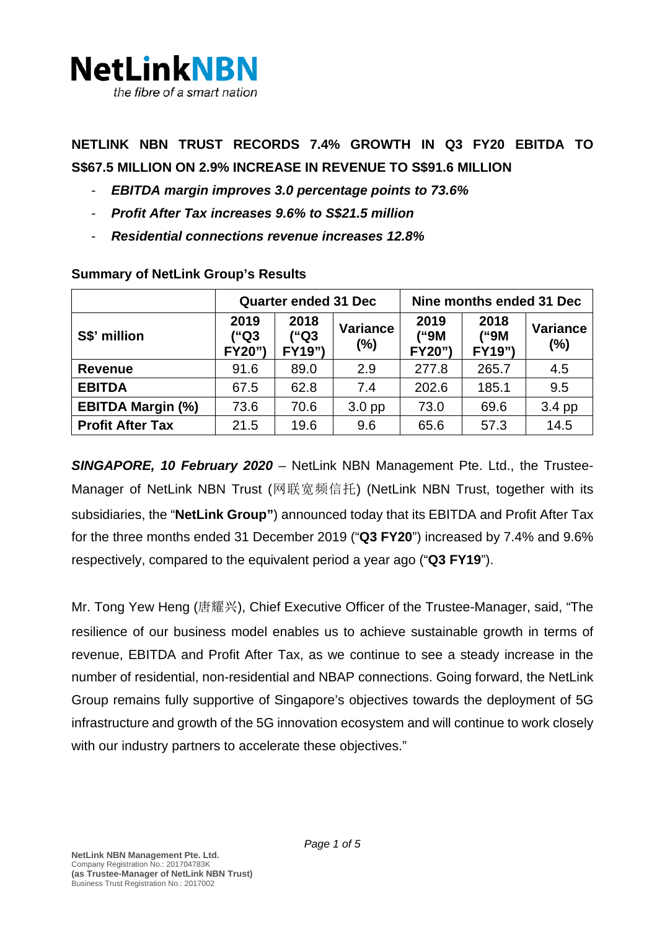

**NETLINK NBN TRUST RECORDS 7.4% GROWTH IN Q3 FY20 EBITDA TO S\$67.5 MILLION ON 2.9% INCREASE IN REVENUE TO S\$91.6 MILLION**

- *EBITDA margin improves 3.0 percentage points to 73.6%*
- *Profit After Tax increases 9.6% to S\$21.5 million*
- *Residential connections revenue increases 12.8%*

|                          | <b>Quarter ended 31 Dec</b> |                        |                        | Nine months ended 31 Dec |                        |                        |
|--------------------------|-----------------------------|------------------------|------------------------|--------------------------|------------------------|------------------------|
| S\$' million             | 2019<br>("Q3<br>FY20")      | 2018<br>("Q3<br>FY19") | <b>Variance</b><br>(%) | 2019<br>("9M<br>FY20")   | 2018<br>("9M<br>FY19") | <b>Variance</b><br>(%) |
| <b>Revenue</b>           | 91.6                        | 89.0                   | 2.9                    | 277.8                    | 265.7                  | 4.5                    |
| <b>EBITDA</b>            | 67.5                        | 62.8                   | 7.4                    | 202.6                    | 185.1                  | 9.5                    |
| <b>EBITDA Margin (%)</b> | 73.6                        | 70.6                   | 3.0 <sub>pp</sub>      | 73.0                     | 69.6                   | 3.4 pp                 |
| <b>Profit After Tax</b>  | 21.5                        | 19.6                   | 9.6                    | 65.6                     | 57.3                   | 14.5                   |

### **Summary of NetLink Group's Results**

*SINGAPORE, 10 February 2020 –* NetLink NBN Management Pte. Ltd., the Trustee-Manager of NetLink NBN Trust (网联宽频信托) (NetLink NBN Trust, together with its subsidiaries, the "**NetLink Group"**) announced today that its EBITDA and Profit After Tax for the three months ended 31 December 2019 ("**Q3 FY20**") increased by 7.4% and 9.6% respectively, compared to the equivalent period a year ago ("**Q3 FY19**").

Mr. Tong Yew Heng (唐耀兴), Chief Executive Officer of the Trustee-Manager, said, "The resilience of our business model enables us to achieve sustainable growth in terms of revenue, EBITDA and Profit After Tax, as we continue to see a steady increase in the number of residential, non-residential and NBAP connections. Going forward, the NetLink Group remains fully supportive of Singapore's objectives towards the deployment of 5G infrastructure and growth of the 5G innovation ecosystem and will continue to work closely with our industry partners to accelerate these objectives."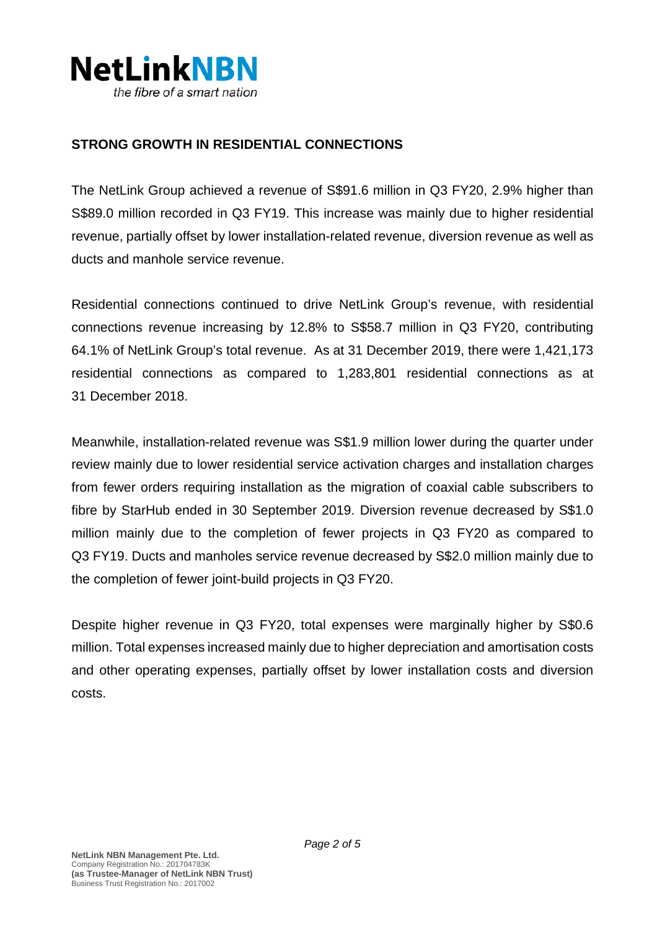

## **STRONG GROWTH IN RESIDENTIAL CONNECTIONS**

The NetLink Group achieved a revenue of S\$91.6 million in Q3 FY20, 2.9% higher than S\$89.0 million recorded in Q3 FY19. This increase was mainly due to higher residential revenue, partially offset by lower installation-related revenue, diversion revenue as well as ducts and manhole service revenue.

Residential connections continued to drive NetLink Group's revenue, with residential connections revenue increasing by 12.8% to S\$58.7 million in Q3 FY20, contributing 64.1% of NetLink Group's total revenue. As at 31 December 2019, there were 1,421,173 residential connections as compared to 1,283,801 residential connections as at 31 December 2018.

Meanwhile, installation-related revenue was S\$1.9 million lower during the quarter under review mainly due to lower residential service activation charges and installation charges from fewer orders requiring installation as the migration of coaxial cable subscribers to fibre by StarHub ended in 30 September 2019. Diversion revenue decreased by S\$1.0 million mainly due to the completion of fewer projects in Q3 FY20 as compared to Q3 FY19. Ducts and manholes service revenue decreased by S\$2.0 million mainly due to the completion of fewer joint-build projects in Q3 FY20.

Despite higher revenue in Q3 FY20, total expenses were marginally higher by S\$0.6 million. Total expenses increased mainly due to higher depreciation and amortisation costs and other operating expenses, partially offset by lower installation costs and diversion costs.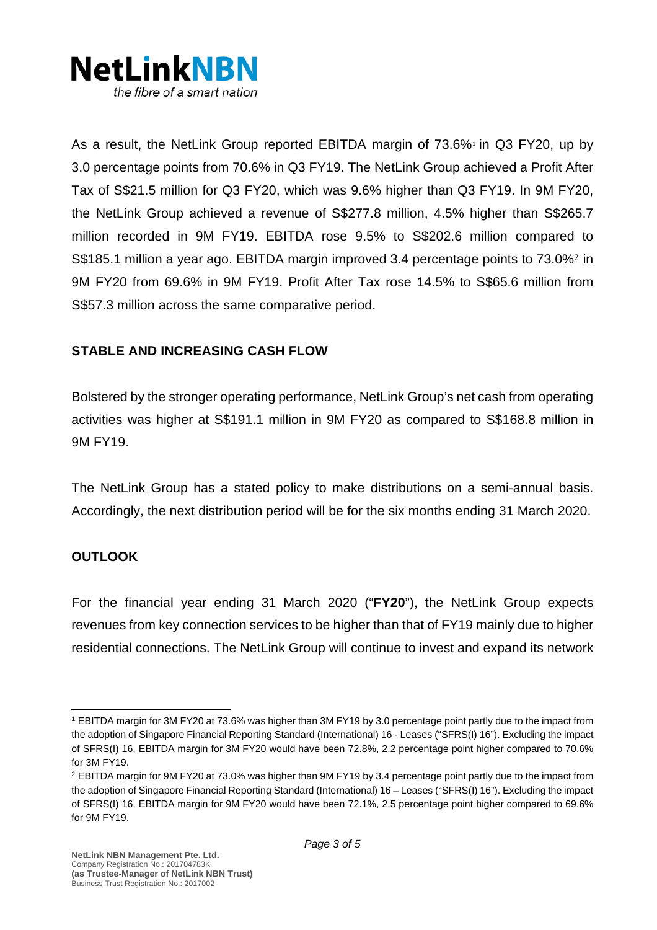

As a result, the NetLink Group reported EBITDA margin of 73.6%<sup>[1](#page-2-0)</sup> in Q3 FY20, up by 3.0 percentage points from 70.6% in Q3 FY19. The NetLink Group achieved a Profit After Tax of S\$21.5 million for Q3 FY20, which was 9.6% higher than Q3 FY19. In 9M FY20, the NetLink Group achieved a revenue of S\$277.8 million, 4.5% higher than S\$265.7 million recorded in 9M FY19. EBITDA rose 9.5% to S\$202.6 million compare[d](#page-2-1) to S\$185.1 million a year ago. EBITDA margin improved 3.4 percentage points to 73.0%<sup>2</sup> in 9M FY20 from 69.6% in 9M FY19. Profit After Tax rose 14.5% to S\$65.6 million from S\$57.3 million across the same comparative period.

## **STABLE AND INCREASING CASH FLOW**

Bolstered by the stronger operating performance, NetLink Group's net cash from operating activities was higher at S\$191.1 million in 9M FY20 as compared to S\$168.8 million in 9M FY19.

The NetLink Group has a stated policy to make distributions on a semi-annual basis. Accordingly, the next distribution period will be for the six months ending 31 March 2020.

## **OUTLOOK**

For the financial year ending 31 March 2020 ("**FY20**"), the NetLink Group expects revenues from key connection services to be higher than that of FY19 mainly due to higher residential connections. The NetLink Group will continue to invest and expand its network

<span id="page-2-0"></span><sup>1</sup> EBITDA margin for 3M FY20 at 73.6% was higher than 3M FY19 by 3.0 percentage point partly due to the impact from the adoption of Singapore Financial Reporting Standard (International) 16 - Leases ("SFRS(I) 16"). Excluding the impact of SFRS(I) 16, EBITDA margin for 3M FY20 would have been 72.8%, 2.2 percentage point higher compared to 70.6% for 3M FY19.

<span id="page-2-1"></span><sup>2</sup> EBITDA margin for 9M FY20 at 73.0% was higher than 9M FY19 by 3.4 percentage point partly due to the impact from the adoption of Singapore Financial Reporting Standard (International) 16 – Leases ("SFRS(I) 16"). Excluding the impact of SFRS(I) 16, EBITDA margin for 9M FY20 would have been 72.1%, 2.5 percentage point higher compared to 69.6% for 9M FY19.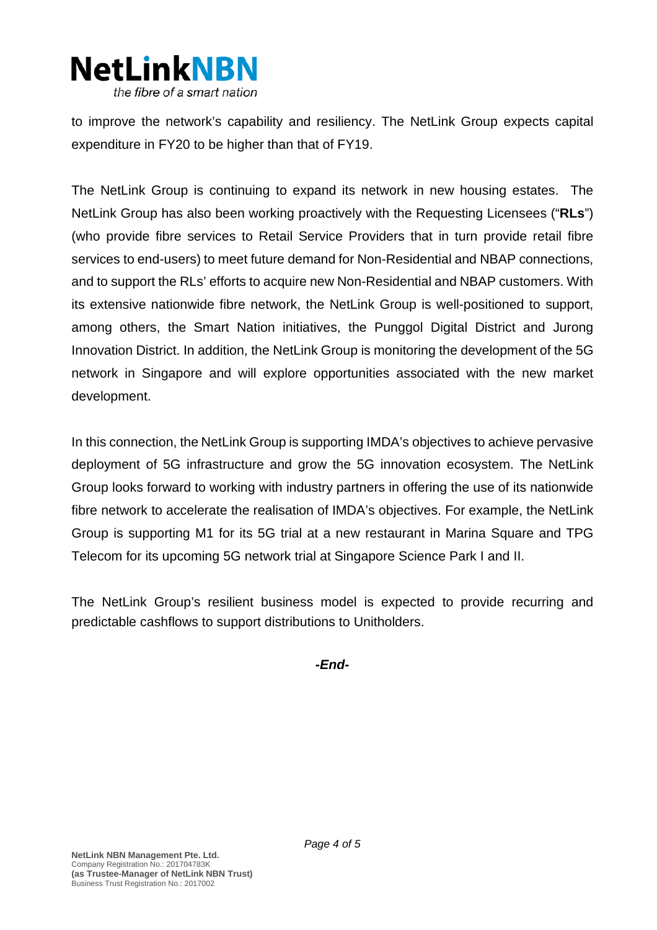

to improve the network's capability and resiliency. The NetLink Group expects capital expenditure in FY20 to be higher than that of FY19.

The NetLink Group is continuing to expand its network in new housing estates. The NetLink Group has also been working proactively with the Requesting Licensees ("**RLs**") (who provide fibre services to Retail Service Providers that in turn provide retail fibre services to end-users) to meet future demand for Non-Residential and NBAP connections, and to support the RLs' efforts to acquire new Non-Residential and NBAP customers. With its extensive nationwide fibre network, the NetLink Group is well-positioned to support, among others, the Smart Nation initiatives, the Punggol Digital District and Jurong Innovation District. In addition, the NetLink Group is monitoring the development of the 5G network in Singapore and will explore opportunities associated with the new market development.

In this connection, the NetLink Group is supporting IMDA's objectives to achieve pervasive deployment of 5G infrastructure and grow the 5G innovation ecosystem. The NetLink Group looks forward to working with industry partners in offering the use of its nationwide fibre network to accelerate the realisation of IMDA's objectives. For example, the NetLink Group is supporting M1 for its 5G trial at a new restaurant in Marina Square and TPG Telecom for its upcoming 5G network trial at Singapore Science Park I and II.

The NetLink Group's resilient business model is expected to provide recurring and predictable cashflows to support distributions to Unitholders.

*-End-*